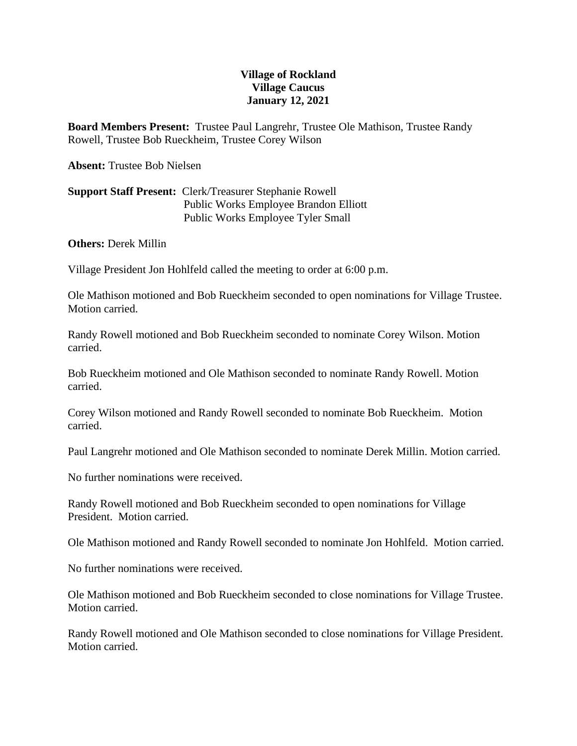## **Village of Rockland Village Caucus January 12, 2021**

**Board Members Present:** Trustee Paul Langrehr, Trustee Ole Mathison, Trustee Randy Rowell, Trustee Bob Rueckheim, Trustee Corey Wilson

**Absent:** Trustee Bob Nielsen

## **Support Staff Present:** Clerk/Treasurer Stephanie Rowell Public Works Employee Brandon Elliott Public Works Employee Tyler Small

**Others:** Derek Millin

Village President Jon Hohlfeld called the meeting to order at 6:00 p.m.

Ole Mathison motioned and Bob Rueckheim seconded to open nominations for Village Trustee. Motion carried.

Randy Rowell motioned and Bob Rueckheim seconded to nominate Corey Wilson. Motion carried.

Bob Rueckheim motioned and Ole Mathison seconded to nominate Randy Rowell. Motion carried.

Corey Wilson motioned and Randy Rowell seconded to nominate Bob Rueckheim. Motion carried.

Paul Langrehr motioned and Ole Mathison seconded to nominate Derek Millin. Motion carried.

No further nominations were received.

Randy Rowell motioned and Bob Rueckheim seconded to open nominations for Village President. Motion carried.

Ole Mathison motioned and Randy Rowell seconded to nominate Jon Hohlfeld. Motion carried.

No further nominations were received.

Ole Mathison motioned and Bob Rueckheim seconded to close nominations for Village Trustee. Motion carried.

Randy Rowell motioned and Ole Mathison seconded to close nominations for Village President. Motion carried.